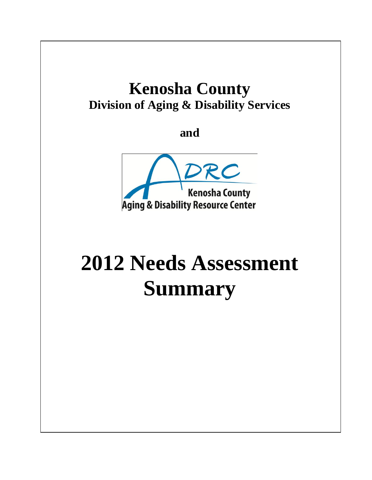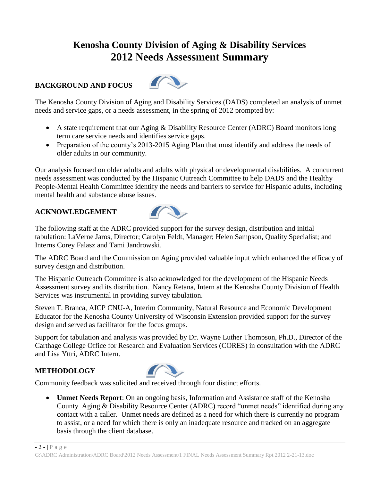# **Kenosha County Division of Aging & Disability Services 2012 Needs Assessment Summary**

#### **BACKGROUND AND FOCUS**



The Kenosha County Division of Aging and Disability Services (DADS) completed an analysis of unmet needs and service gaps, or a needs assessment, in the spring of 2012 prompted by:

- A state requirement that our Aging & Disability Resource Center (ADRC) Board monitors long term care service needs and identifies service gaps.
- Preparation of the county's 2013-2015 Aging Plan that must identify and address the needs of older adults in our community.

Our analysis focused on older adults and adults with physical or developmental disabilities. A concurrent needs assessment was conducted by the Hispanic Outreach Committee to help DADS and the Healthy People-Mental Health Committee identify the needs and barriers to service for Hispanic adults, including mental health and substance abuse issues.

#### **ACKNOWLEDGEMENT**



The following staff at the ADRC provided support for the survey design, distribution and initial tabulation: LaVerne Jaros, Director; Carolyn Feldt, Manager; Helen Sampson, Quality Specialist; and Interns Corey Falasz and Tami Jandrowski.

The ADRC Board and the Commission on Aging provided valuable input which enhanced the efficacy of survey design and distribution.

The Hispanic Outreach Committee is also acknowledged for the development of the Hispanic Needs Assessment survey and its distribution. Nancy Retana, Intern at the Kenosha County Division of Health Services was instrumental in providing survey tabulation.

Steven T. Branca, AICP CNU-A, Interim Community, Natural Resource and Economic Development Educator for the Kenosha County University of Wisconsin Extension provided support for the survey design and served as facilitator for the focus groups.

Support for tabulation and analysis was provided by Dr. Wayne Luther Thompson, Ph.D., Director of the Carthage College Office for Research and Evaluation Services (CORES) in consultation with the ADRC and Lisa Yttri, ADRC Intern.

#### **METHODOLOGY**



Community feedback was solicited and received through four distinct efforts.

 **Unmet Needs Report**: On an ongoing basis, Information and Assistance staff of the Kenosha County Aging & Disability Resource Center (ADRC) record "unmet needs" identified during any contact with a caller. Unmet needs are defined as a need for which there is currently no program to assist, or a need for which there is only an inadequate resource and tracked on an aggregate basis through the client database.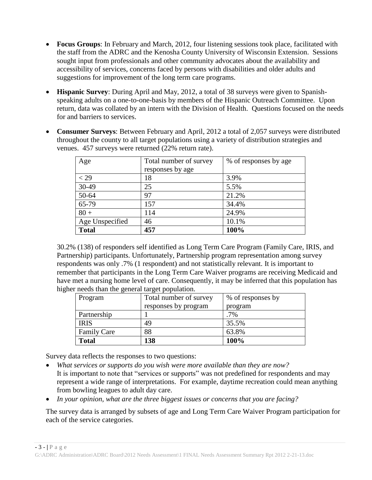- **Focus Groups**: In February and March, 2012, four listening sessions took place, facilitated with the staff from the ADRC and the Kenosha County University of Wisconsin Extension. Sessions sought input from professionals and other community advocates about the availability and accessibility of services, concerns faced by persons with disabilities and older adults and suggestions for improvement of the long term care programs.
- **Hispanic Survey**: During April and May, 2012, a total of 38 surveys were given to Spanishspeaking adults on a one-to-one-basis by members of the Hispanic Outreach Committee. Upon return, data was collated by an intern with the Division of Health. Questions focused on the needs for and barriers to services.
- **Consumer Surveys**: Between February and April, 2012 a total of 2,057 surveys were distributed throughout the county to all target populations using a variety of distribution strategies and venues. 457 surveys were returned (22% return rate).

| Age             | Total number of survey | % of responses by age |
|-----------------|------------------------|-----------------------|
|                 | responses by age       |                       |
| $<$ 29          | 18                     | 3.9%                  |
| 30-49           | 25                     | 5.5%                  |
| 50-64           | 97                     | 21.2%                 |
| 65-79           | 157                    | 34.4%                 |
| $80 +$          | 114                    | 24.9%                 |
| Age Unspecified | 46                     | 10.1%                 |
| <b>Total</b>    | 457                    | 100%                  |

30.2% (138) of responders self identified as Long Term Care Program (Family Care, IRIS, and Partnership) participants. Unfortunately, Partnership program representation among survey respondents was only .7% (1 respondent) and not statistically relevant. It is important to remember that participants in the Long Term Care Waiver programs are receiving Medicaid and have met a nursing home level of care. Consequently, it may be inferred that this population has higher needs than the general target population.

| Program            | Total number of survey | % of responses by |
|--------------------|------------------------|-------------------|
|                    | responses by program   | program           |
| Partnership        |                        | $.7\%$            |
| <b>IRIS</b>        | 49                     | 35.5%             |
| <b>Family Care</b> | 88                     | 63.8%             |
| <b>Total</b>       | 138                    | 100%              |

Survey data reflects the responses to two questions:

- *What services or supports do you wish were more available than they are now?* It is important to note that "services or supports" was not predefined for respondents and may represent a wide range of interpretations. For example, daytime recreation could mean anything from bowling leagues to adult day care.
- *In your opinion, what are the three biggest issues or concerns that you are facing?*

The survey data is arranged by subsets of age and Long Term Care Waiver Program participation for each of the service categories.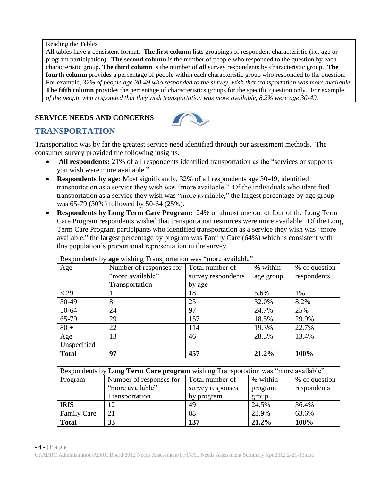Reading the Tables

All tables have a consistent format. **The first column** lists groupings of respondent characteristic (i.e. age or program participation). **The second column** is the number of people who responded to the question by each characteristic group. **The third column** is the number of *all* survey respondents by characteristic group. **The fourth column** provides a percentage of people within each characteristic group who responded to the question. For example, *32% of people age 30-49 who responded to the survey, wish that transportation was more available*. **The fifth column** provides the percentage of characteristics groups for the specific question only. For example, *of the people who responded that they wish transportation was more available, 8.2% were age 30-49*.

### **SERVICE NEEDS AND CONCERNS**



## **TRANSPORTATION**

Transportation was by far the greatest service need identified through our assessment methods. The consumer survey provided the following insights.

- All respondents: 21% of all respondents identified transportation as the "services or supports" you wish were more available."
- **Respondents by age:** Most significantly, 32% of all respondents age 30-49, identified transportation as a service they wish was "more available." Of the individuals who identified transportation as a service they wish was "more available," the largest percentage by age group was 65-79 (30%) followed by 50-64 (25%).
- **Respondents by Long Term Care Program:** 24% or almost one out of four of the Long Term Care Program respondents wished that transportation resources were more available. Of the Long Term Care Program participants who identified transportation as a service they wish was "more available," the largest percentage by program was Family Care (64%) which is consistent with this population's proportional representation in the survey.

| Respondents by age wishing Transportation was "more available" |                         |                    |           |               |
|----------------------------------------------------------------|-------------------------|--------------------|-----------|---------------|
| Age                                                            | Number of responses for | Total number of    | % within  | % of question |
|                                                                | "more available"        | survey respondents | age group | respondents   |
|                                                                | Transportation          | by age             |           |               |
| $<$ 29                                                         |                         | 18                 | 5.6%      | 1%            |
| 30-49                                                          | 8                       | 25                 | 32.0%     | 8.2%          |
| 50-64                                                          | 24                      | 97                 | 24.7%     | 25%           |
| 65-79                                                          | 29                      | 157                | 18.5%     | 29.9%         |
| $80 +$                                                         | 22                      | 114                | 19.3%     | 22.7%         |
| Age                                                            | 13                      | 46                 | 28.3%     | 13.4%         |
| Unspecified                                                    |                         |                    |           |               |
| <b>Total</b>                                                   | 97                      | 457                | 21.2%     | 100%          |

| Respondents by Long Term Care program wishing Transportation was "more available" |                         |                  |          |               |
|-----------------------------------------------------------------------------------|-------------------------|------------------|----------|---------------|
| Program                                                                           | Number of responses for | Total number of  | % within | % of question |
|                                                                                   | "more available"        | survey responses | program  | respondents   |
|                                                                                   | Transportation          | by program       | group    |               |
| <b>IRIS</b>                                                                       | 12                      | 49               | 24.5%    | 36.4%         |
| <b>Family Care</b>                                                                | 21                      | 88               | 23.9%    | 63.6%         |
| <b>Total</b>                                                                      | 33                      | 137              | 21.2%    | 100%          |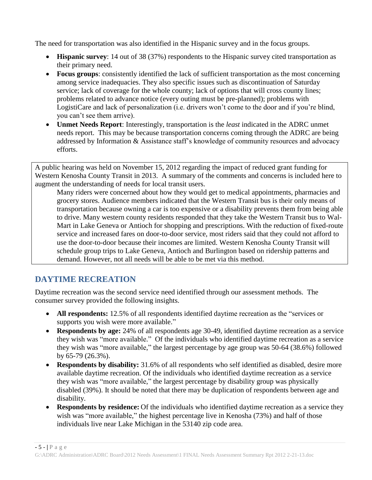The need for transportation was also identified in the Hispanic survey and in the focus groups.

- **Hispanic survey**: 14 out of 38 (37%) respondents to the Hispanic survey cited transportation as their primary need.
- **Focus groups**: consistently identified the lack of sufficient transportation as the most concerning among service inadequacies. They also specific issues such as discontinuation of Saturday service; lack of coverage for the whole county; lack of options that will cross county lines; problems related to advance notice (every outing must be pre-planned); problems with LogistiCare and lack of personalization (i.e. drivers won't come to the door and if you're blind, you can't see them arrive).
- **Unmet Needs Report**: Interestingly, transportation is the *least* indicated in the ADRC unmet needs report. This may be because transportation concerns coming through the ADRC are being addressed by Information & Assistance staff's knowledge of community resources and advocacy efforts.

A public hearing was held on November 15, 2012 regarding the impact of reduced grant funding for Western Kenosha County Transit in 2013. A summary of the comments and concerns is included here to augment the understanding of needs for local transit users.

Many riders were concerned about how they would get to medical appointments, pharmacies and grocery stores. Audience members indicated that the Western Transit bus is their only means of transportation because owning a car is too expensive or a disability prevents them from being able to drive. Many western county residents responded that they take the Western Transit bus to Wal-Mart in Lake Geneva or Antioch for shopping and prescriptions. With the reduction of fixed-route service and increased fares on door-to-door service, most riders said that they could not afford to use the door-to-door because their incomes are limited. Western Kenosha County Transit will schedule group trips to Lake Geneva, Antioch and Burlington based on ridership patterns and demand. However, not all needs will be able to be met via this method.

## **DAYTIME RECREATION**

Daytime recreation was the second service need identified through our assessment methods. The consumer survey provided the following insights.

- All respondents: 12.5% of all respondents identified daytime recreation as the "services or supports you wish were more available."
- **Respondents by age:** 24% of all respondents age 30-49, identified daytime recreation as a service they wish was "more available." Of the individuals who identified daytime recreation as a service they wish was "more available," the largest percentage by age group was 50-64 (38.6%) followed by 65-79 (26.3%).
- **Respondents by disability:** 31.6% of all respondents who self identified as disabled, desire more available daytime recreation. Of the individuals who identified daytime recreation as a service they wish was "more available," the largest percentage by disability group was physically disabled (39%). It should be noted that there may be duplication of respondents between age and disability.
- **Respondents by residence:** Of the individuals who identified daytime recreation as a service they wish was "more available," the highest percentage live in Kenosha (73%) and half of those individuals live near Lake Michigan in the 53140 zip code area.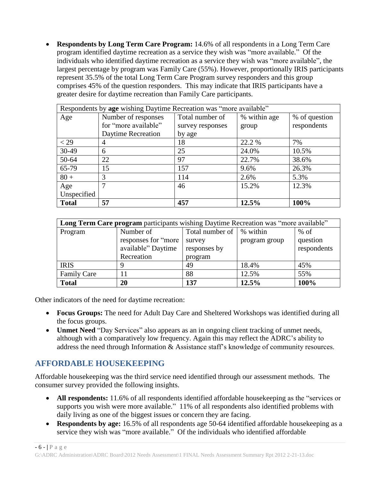**Respondents by Long Term Care Program:** 14.6% of all respondents in a Long Term Care program identified daytime recreation as a service they wish was "more available." Of the individuals who identified daytime recreation as a service they wish was "more available", the largest percentage by program was Family Care (55%). However, proportionally IRIS participants represent 35.5% of the total Long Term Care Program survey responders and this group comprises 45% of the question responders. This may indicate that IRIS participants have a greater desire for daytime recreation than Family Care participants.

| Respondents by age wishing Daytime Recreation was "more available" |                      |                  |              |               |
|--------------------------------------------------------------------|----------------------|------------------|--------------|---------------|
| Age                                                                | Number of responses  | Total number of  | % within age | % of question |
|                                                                    | for "more available" | survey responses | group        | respondents   |
|                                                                    | Daytime Recreation   | by age           |              |               |
| $<$ 29                                                             | 4                    | 18               | 22.2 %       | 7%            |
| 30-49                                                              | 6                    | 25               | 24.0%        | 10.5%         |
| 50-64                                                              | 22                   | 97               | 22.7%        | 38.6%         |
| 65-79                                                              | 15                   | 157              | 9.6%         | 26.3%         |
| $80 +$                                                             | 3                    | 114              | 2.6%         | 5.3%          |
| Age                                                                | 7                    | 46               | 15.2%        | 12.3%         |
| Unspecified                                                        |                      |                  |              |               |
| <b>Total</b>                                                       | 57                   | 457              | 12.5%        | 100%          |

| Long Term Care program participants wishing Daytime Recreation was "more available" |                      |                 |               |             |
|-------------------------------------------------------------------------------------|----------------------|-----------------|---------------|-------------|
| Program                                                                             | Number of            | Total number of | % within      | $%$ of      |
|                                                                                     | responses for "more" | survey          | program group | question    |
|                                                                                     | available" Daytime   | responses by    |               | respondents |
|                                                                                     | Recreation           | program         |               |             |
| <b>IRIS</b>                                                                         |                      | 49              | 18.4%         | 45%         |
| <b>Family Care</b>                                                                  |                      | 88              | 12.5%         | 55%         |
| <b>Total</b>                                                                        | 20                   | 137             | 12.5%         | 100%        |

Other indicators of the need for daytime recreation:

- **Focus Groups:** The need for Adult Day Care and Sheltered Workshops was identified during all the focus groups.
- **Unmet Need** "Day Services" also appears as an in ongoing client tracking of unmet needs, although with a comparatively low frequency. Again this may reflect the ADRC's ability to address the need through Information & Assistance staff's knowledge of community resources.

## **AFFORDABLE HOUSEKEEPING**

Affordable housekeeping was the third service need identified through our assessment methods. The consumer survey provided the following insights.

- All respondents: 11.6% of all respondents identified affordable house keeping as the "services or supports you wish were more available." 11% of all respondents also identified problems with daily living as one of the biggest issues or concern they are facing.
- **Respondents by age:** 16.5% of all respondents age 50-64 identified affordable housekeeping as a service they wish was "more available." Of the individuals who identified affordable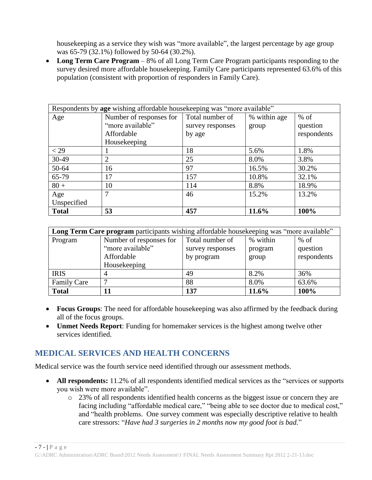housekeeping as a service they wish was "more available", the largest percentage by age group was 65-79 (32.1%) followed by 50-64 (30.2%).

 **Long Term Care Program** – 8% of all Long Term Care Program participants responding to the survey desired more affordable housekeeping. Family Care participants represented 63.6% of this population (consistent with proportion of responders in Family Care).

| Respondents by age wishing affordable housekeeping was "more available" |                         |                  |              |             |
|-------------------------------------------------------------------------|-------------------------|------------------|--------------|-------------|
| Age                                                                     | Number of responses for | Total number of  | % within age | $%$ of      |
|                                                                         | "more available"        | survey responses | group        | question    |
|                                                                         | Affordable              | by age           |              | respondents |
|                                                                         | Housekeeping            |                  |              |             |
| $<$ 29                                                                  |                         | 18               | 5.6%         | 1.8%        |
| 30-49                                                                   | $\overline{2}$          | 25               | 8.0%         | 3.8%        |
| 50-64                                                                   | 16                      | 97               | 16.5%        | 30.2%       |
| 65-79                                                                   | 17                      | 157              | 10.8%        | 32.1%       |
| $80 +$                                                                  | 10                      | 114              | 8.8%         | 18.9%       |
| Age                                                                     | 7                       | 46               | 15.2%        | 13.2%       |
| Unspecified                                                             |                         |                  |              |             |
| <b>Total</b>                                                            | 53                      | 457              | 11.6%        | 100%        |

| Long Term Care program participants wishing affordable housekeeping was "more available" |                         |                  |          |             |
|------------------------------------------------------------------------------------------|-------------------------|------------------|----------|-------------|
| Program                                                                                  | Number of responses for | Total number of  | % within | $%$ of      |
|                                                                                          | "more available"        | survey responses | program  | question    |
|                                                                                          | Affordable              | by program       | group    | respondents |
|                                                                                          | Housekeeping            |                  |          |             |
| <b>IRIS</b>                                                                              | 4                       | 49               | 8.2%     | 36%         |
| <b>Family Care</b>                                                                       | ⇁                       | 88               | 8.0%     | 63.6%       |
| <b>Total</b>                                                                             |                         | 137              | 11.6%    | 100%        |

- **Focus Groups**: The need for affordable housekeeping was also affirmed by the feedback during all of the focus groups.
- **Unmet Needs Report**: Funding for homemaker services is the highest among twelve other services identified.

### **MEDICAL SERVICES AND HEALTH CONCERNS**

Medical service was the fourth service need identified through our assessment methods.

- All respondents: 11.2% of all respondents identified medical services as the "services or supports" you wish were more available".
	- o 23% of all respondents identified health concerns as the biggest issue or concern they are facing including "affordable medical care," "being able to see doctor due to medical cost," and "health problems. One survey comment was especially descriptive relative to health care stressors: "*Have had 3 surgeries in 2 months now my good foot is bad.*"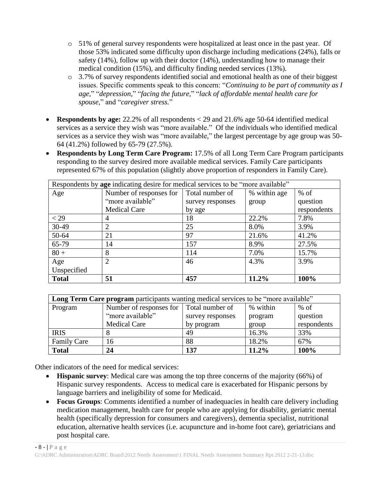- o 51% of general survey respondents were hospitalized at least once in the past year. Of those 53% indicated some difficulty upon discharge including medications (24%), falls or safety (14%), follow up with their doctor (14%), understanding how to manage their medical condition (15%), and difficulty finding needed services (13%).
- o 3.7% of survey respondents identified social and emotional health as one of their biggest issues. Specific comments speak to this concern: "*Continuing to be part of community as I age,*" "*depression,*" "*facing the future,*" "*lack of affordable mental health care for spouse,*" and "*caregiver stress.*"
- **Respondents by age:** 22.2% of all respondents < 29 and 21.6% age 50-64 identified medical services as a service they wish was "more available." Of the individuals who identified medical services as a service they wish was "more available," the largest percentage by age group was 50- 64 (41.2%) followed by 65-79 (27.5%).
- **Respondents by Long Term Care Program:** 17.5% of all Long Term Care Program participants responding to the survey desired more available medical services. Family Care participants represented 67% of this population (slightly above proportion of responders in Family Care).

| Respondents by age indicating desire for medical services to be "more available" |                         |                  |              |             |
|----------------------------------------------------------------------------------|-------------------------|------------------|--------------|-------------|
| Age                                                                              | Number of responses for | Total number of  | % within age | $%$ of      |
|                                                                                  | "more available"        | survey responses | group        | question    |
|                                                                                  | <b>Medical Care</b>     | by age           |              | respondents |
| $<$ 29                                                                           | 4                       | 18               | 22.2%        | 7.8%        |
| 30-49                                                                            | 2                       | 25               | 8.0%         | 3.9%        |
| 50-64                                                                            | 21                      | 97               | 21.6%        | 41.2%       |
| 65-79                                                                            | 14                      | 157              | 8.9%         | 27.5%       |
| $80 +$                                                                           | 8                       | 114              | 7.0%         | 15.7%       |
| Age                                                                              | $\bigcap$               | 46               | 4.3%         | 3.9%        |
| Unspecified                                                                      |                         |                  |              |             |
| <b>Total</b>                                                                     | 51                      | 457              | 11.2%        | 100%        |

| Long Term Care program participants wanting medical services to be "more available" |                                         |                  |          |             |
|-------------------------------------------------------------------------------------|-----------------------------------------|------------------|----------|-------------|
| Program                                                                             | Number of responses for Total number of |                  | % within | $%$ of      |
|                                                                                     | "more available"                        | survey responses | program  | question    |
|                                                                                     | <b>Medical Care</b>                     | by program       | group    | respondents |
| <b>IRIS</b>                                                                         |                                         | 49               | 16.3%    | 33%         |
| <b>Family Care</b>                                                                  | 16                                      | 88               | 18.2%    | 67%         |
| <b>Total</b>                                                                        | 24                                      | 137              | 11.2%    | 100%        |

Other indicators of the need for medical services:

- **Hispanic survey**: Medical care was among the top three concerns of the majority (66%) of Hispanic survey respondents. Access to medical care is exacerbated for Hispanic persons by language barriers and ineligibility of some for Medicaid.
- **Focus Groups**: Comments identified a number of inadequacies in health care delivery including medication management, health care for people who are applying for disability, geriatric mental health (specifically depression for consumers and caregivers), dementia specialist, nutritional education, alternative health services (i.e. acupuncture and in-home foot care), geriatricians and post hospital care.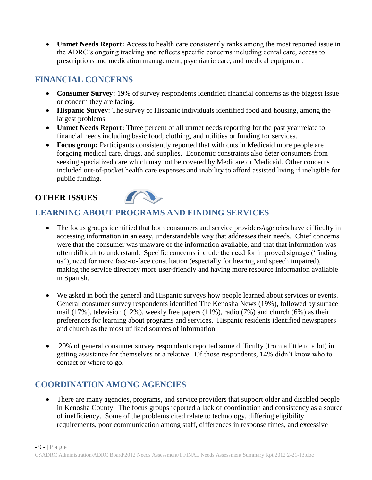**Unmet Needs Report:** Access to health care consistently ranks among the most reported issue in the ADRC's ongoing tracking and reflects specific concerns including dental care, access to prescriptions and medication management, psychiatric care, and medical equipment.

## **FINANCIAL CONCERNS**

- **Consumer Survey:** 19% of survey respondents identified financial concerns as the biggest issue or concern they are facing.
- **Hispanic Survey**: The survey of Hispanic individuals identified food and housing, among the largest problems.
- **Unmet Needs Report:** Three percent of all unmet needs reporting for the past year relate to financial needs including basic food, clothing, and utilities or funding for services.
- **Focus group:** Participants consistently reported that with cuts in Medicaid more people are forgoing medical care, drugs, and supplies. Economic constraints also deter consumers from seeking specialized care which may not be covered by Medicare or Medicaid. Other concerns included out-of-pocket health care expenses and inability to afford assisted living if ineligible for public funding.

## **OTHER ISSUES**



## **LEARNING ABOUT PROGRAMS AND FINDING SERVICES**

- The focus groups identified that both consumers and service providers/agencies have difficulty in accessing information in an easy, understandable way that addresses their needs. Chief concerns were that the consumer was unaware of the information available, and that that information was often difficult to understand. Specific concerns include the need for improved signage ('finding us"), need for more face-to-face consultation (especially for hearing and speech impaired), making the service directory more user-friendly and having more resource information available in Spanish.
- We asked in both the general and Hispanic surveys how people learned about services or events. General consumer survey respondents identified The Kenosha News (19%), followed by surface mail (17%), television (12%), weekly free papers (11%), radio (7%) and church (6%) as their preferences for learning about programs and services. Hispanic residents identified newspapers and church as the most utilized sources of information.
- 20% of general consumer survey respondents reported some difficulty (from a little to a lot) in getting assistance for themselves or a relative. Of those respondents, 14% didn't know who to contact or where to go.

## **COORDINATION AMONG AGENCIES**

• There are many agencies, programs, and service providers that support older and disabled people in Kenosha County. The focus groups reported a lack of coordination and consistency as a source of inefficiency. Some of the problems cited relate to technology, differing eligibility requirements, poor communication among staff, differences in response times, and excessive